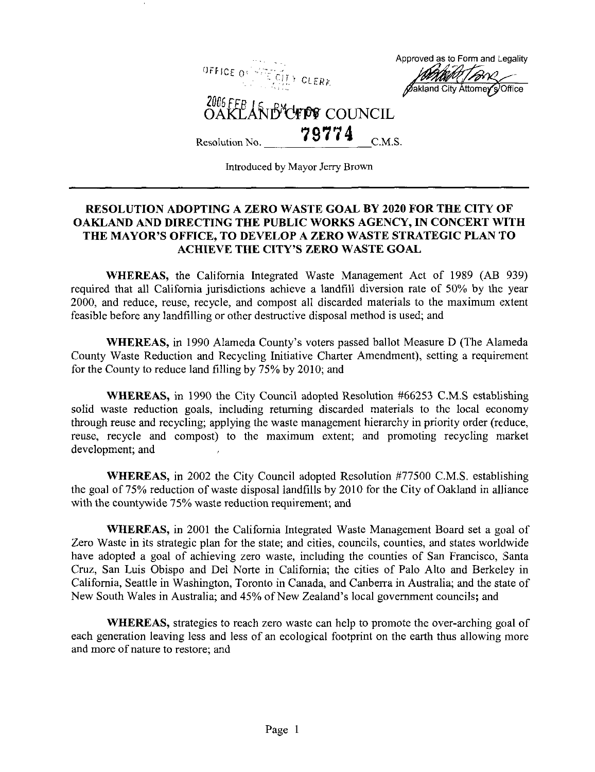

Introduced by Mayor Jerry Brown

## RESOLUTION ADOPTING A ZERO WASTE GOAL BY 2020 FOR THE CITY OF OAKLAND AND DIRECTING THE PUBLIC WORKS AGENCY, IN CONCERT WITH THE MAYOR'S OFFICE, TO DEVELOP A ZERO WASTE STRATEGIC PLAN TO ACHIEVE THE CITY'S ZERO WASTE GOAL

WHEREAS, the California Integrated Waste Management Act of 1989 (AB 939) required that all California jurisdictions achieve a landfill diversion rate of 50% by the year 2000, and reduce, reuse, recycle, and compost all discarded materials to the maximum extent feasible before any landfilling or other destructive disposal method is used; and

WHEREAS, in 1990 Alameda County's voters passed ballot Measure D (The Alameda County Waste Reduction and Recycling Initiative Charter Amendment), setting a requirement for the County to reduce land filling by 75% by 2010; and

WHEREAS, in 1990 the City Council adopted Resolution #66253 C.M.S establishing solid waste reduction goals, including returning discarded materials to the local economy through reuse and recycling; applying the waste management hierarchy in priority order (reduce, reuse, recycle and compost) to the maximum extent; and promoting recycling market development; and

WHEREAS, in 2002 the City Council adopted Resolution #77500 C.M.S. establishing the goal of 75% reduction of waste disposal landfills by 2010 for the City of Oakland in alliance with the countywide 75% waste reduction requirement; and

WHEREAS, in 2001 the California Integrated Waste Management Board set a goal of Zero Waste in its strategic plan for the state; and cities, councils, counties, and states worldwide have adopted a goal of achieving zero waste, including the counties of San Francisco, Santa Cruz, San Luis Obispo and Del Norte in California; the cities of Palo Alto and Berkeley in California, Seattle in Washington, Toronto in Canada, and Canberra in Australia; and the state of New South Wales in Australia; and 45% of New Zealand's local government councils; and

WHEREAS, strategies to reach zero waste can help to promote the over-arching goal of each generation leaving less and less of an ecological footprint on the earth thus allowing more and more of nature to restore; and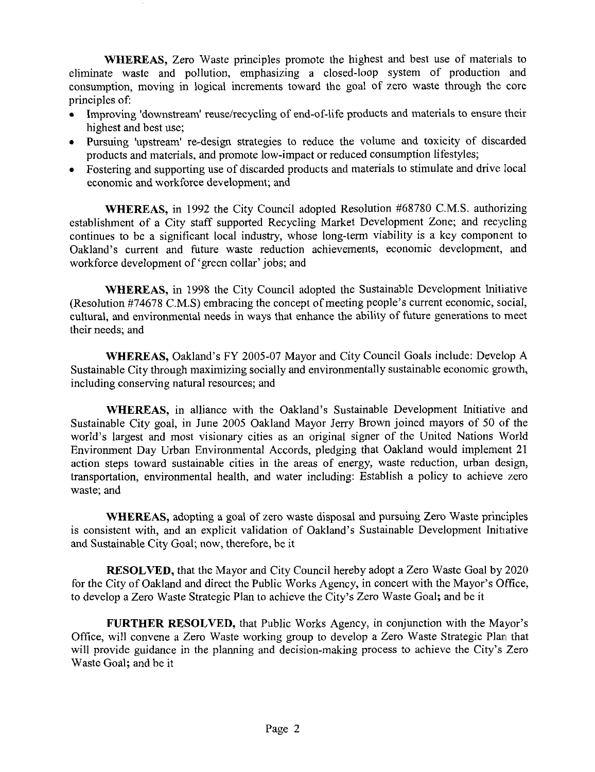WHEREAS, Zero Waste principles promote the highest and best use of materials to eliminate waste and pollution, emphasizing a closed-loop system of production and consumption, moving in logical increments toward the goal of zero waste through the core principles of:

- Improving 'downstream' reuse/recycling of end-of-life products and materials to ensure their highest and best use;
- Pursuing 'upstream' re-design strategies to reduce the volume and toxicity of discarded products and materials, and promote low-impact or reduced consumption lifestyles;
- Fostering and supporting use of discarded products and materials to stimulate and drive local economic and workforce development; and

WHEREAS, in 1992 the City Council adopted Resolution #68780 C.M.S. authorizing establishment of a City staff supported Recycling Market Development Zone; and recycling continues to be a significant local industry, whose long-term viability is a key component to Oakland's current and future waste reduction achievements, economic development, and workforce development of'green collar'jobs; and

WHEREAS, in 1998 the City Council adopted the Sustainable Development Initiative (Resolution #74678 C.M.S) embracing the concept of meeting people's current economic, social, cultural, and environmental needs in ways that enhance the ability of future generations to meet their needs; and

WHEREAS, Oakland's FY 2005-07 Mayor and City Council Goals include: Develop A Sustainable City through maximizing socially and environmentally sustainable economic growth, including conserving natural resources; and

WHEREAS, in alliance with the Oakland's Sustainable Development Initiative and Sustainable City goal, in June 2005 Oakland Mayor Jerry Brown joined mayors of 50 of the world's largest and most visionary cities as an original signer of the United Nations World Environment Day Urban Environmental Accords, pledging that Oakland would implement 21 action steps toward sustainable cities in the areas of energy, waste reduction, urban design, transportation, environmental health, and water including: Establish a policy to achieve zero waste; and

WHEREAS, adopting a goal of zero waste disposal and pursuing Zero Waste principles is consistent with, and an explicit validation of Oakland's Sustainable Development Initiative and Sustainable City Goal; now, therefore, be it

RESOLVED, that the Mayor and City Council hereby adopt a Zero Waste Goal by 2020 for the City of Oakland and direct the Public Works Agency, in concert with the Mayor's Office, to develop a Zero Waste Strategic Plan to achieve the City's Zero Waste Goal; and be it

FURTHER RESOLVED, that Public Works Agency, in conjunction with the Mayor's Office, will convene a Zero Waste working group to develop a Zero Waste Strategic Plan that will provide guidance in the planning and decision-making process to achieve the City's Zero Waste Goal; and be it